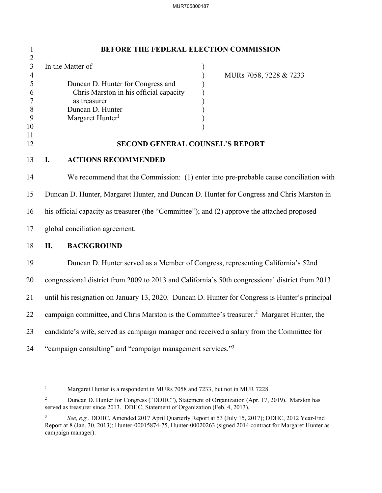| $\mathbf{1}$                                                                            | <b>BEFORE THE FEDERAL ELECTION COMMISSION</b>                                                                                                                                                 |
|-----------------------------------------------------------------------------------------|-----------------------------------------------------------------------------------------------------------------------------------------------------------------------------------------------|
| $\overline{2}$<br>$\overline{3}$<br>$\overline{4}$<br>5<br>6<br>7<br>8<br>9<br>10<br>11 | In the Matter of<br>MURs 7058, 7228 & 7233<br>Duncan D. Hunter for Congress and<br>Chris Marston in his official capacity<br>as treasurer<br>Duncan D. Hunter<br>Margaret Hunter <sup>1</sup> |
| 12                                                                                      | <b>SECOND GENERAL COUNSEL'S REPORT</b>                                                                                                                                                        |
| 13                                                                                      | <b>ACTIONS RECOMMENDED</b><br>L.                                                                                                                                                              |
| 14                                                                                      | We recommend that the Commission: (1) enter into pre-probable cause conciliation with                                                                                                         |
| 15                                                                                      | Duncan D. Hunter, Margaret Hunter, and Duncan D. Hunter for Congress and Chris Marston in                                                                                                     |
| 16                                                                                      | his official capacity as treasurer (the "Committee"); and (2) approve the attached proposed                                                                                                   |
| 17                                                                                      | global conciliation agreement.                                                                                                                                                                |
| 18                                                                                      | <b>BACKGROUND</b><br>II.                                                                                                                                                                      |
| 19                                                                                      | Duncan D. Hunter served as a Member of Congress, representing California's 52nd                                                                                                               |
| 20                                                                                      | congressional district from 2009 to 2013 and California's 50th congressional district from 2013                                                                                               |
| 21                                                                                      | until his resignation on January 13, 2020. Duncan D. Hunter for Congress is Hunter's principal                                                                                                |
| 22                                                                                      | campaign committee, and Chris Marston is the Committee's treasurer. <sup>2</sup> Margaret Hunter, the                                                                                         |
| 23                                                                                      | candidate's wife, served as campaign manager and received a salary from the Committee for                                                                                                     |
| 24                                                                                      | "campaign consulting" and "campaign management services."3                                                                                                                                    |

 $\frac{1}{1}$ Margaret Hunter is a respondent in MURs 7058 and 7233, but not in MUR 7228.

<sup>2</sup> Duncan D. Hunter for Congress ("DDHC"), Statement of Organization (Apr. 17, 2019). Marston has served as treasurer since 2013. DDHC, Statement of Organization (Feb. 4, 2013).

<sup>3</sup> *See, e.g.*, DDHC, Amended 2017 April Quarterly Report at 53 (July 15, 2017); DDHC, 2012 Year-End Report at 8 (Jan. 30, 2013); Hunter-00015874-75, Hunter-00020263 (signed 2014 contract for Margaret Hunter as campaign manager).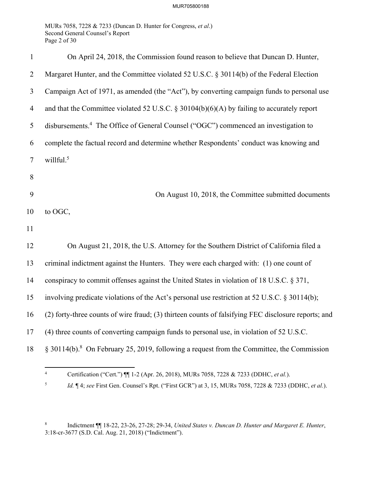| MURs 7058, 7228 & 7233 (Duncan D. Hunter for Congress, et al.) |
|----------------------------------------------------------------|
| Second General Counsel's Report                                |
| Page 2 of $30$                                                 |

| $\mathbf{1}$   | On April 24, 2018, the Commission found reason to believe that Duncan D. Hunter,                      |
|----------------|-------------------------------------------------------------------------------------------------------|
| $\overline{2}$ | Margaret Hunter, and the Committee violated 52 U.S.C. § 30114(b) of the Federal Election              |
| 3              | Campaign Act of 1971, as amended (the "Act"), by converting campaign funds to personal use            |
| $\overline{4}$ | and that the Committee violated 52 U.S.C. § 30104(b)(6)(A) by failing to accurately report            |
| 5              | disbursements. <sup>4</sup> The Office of General Counsel ("OGC") commenced an investigation to       |
| 6              | complete the factual record and determine whether Respondents' conduct was knowing and                |
| $\tau$         | willful. <sup>5</sup>                                                                                 |
| 8              |                                                                                                       |
| 9              | On August 10, 2018, the Committee submitted documents                                                 |
| 10             | to OGC,                                                                                               |
| 11             |                                                                                                       |
| 12             | On August 21, 2018, the U.S. Attorney for the Southern District of California filed a                 |
| 13             | criminal indictment against the Hunters. They were each charged with: (1) one count of                |
| 14             | conspiracy to commit offenses against the United States in violation of 18 U.S.C. § 371,              |
| 15             | involving predicate violations of the Act's personal use restriction at 52 U.S.C. § 30114(b);         |
| 16             | (2) forty-three counts of wire fraud; (3) thirteen counts of falsifying FEC disclosure reports; and   |
| 17             | (4) three counts of converting campaign funds to personal use, in violation of 52 U.S.C.              |
| 18             | § 30114(b). <sup>8</sup> On February 25, 2019, following a request from the Committee, the Commission |
|                |                                                                                                       |

 $\frac{1}{4}$ Certification ("Cert.") ¶¶ 1-2 (Apr. 26, 2018), MURs 7058, 7228 & 7233 (DDHC, *et al.*).

<sup>5</sup> *Id.* ¶ 4; *see* First Gen. Counsel's Rpt. ("First GCR") at 3, 15, MURs 7058, 7228 & 7233 (DDHC, *et al.*).

<sup>8</sup> Indictment ¶¶ 18-22, 23-26, 27-28; 29-34, *United States v. Duncan D. Hunter and Margaret E. Hunter*, 3:18-cr-3677 (S.D. Cal. Aug. 21, 2018) ("Indictment").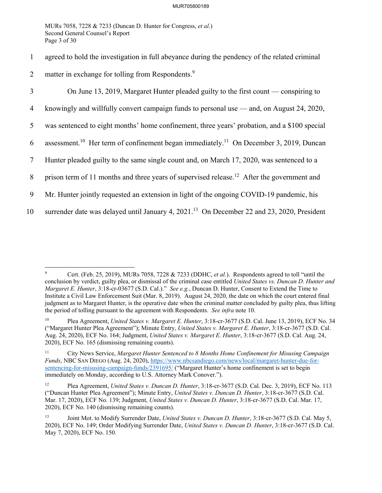MURs 7058, 7228 & 7233 (Duncan D. Hunter for Congress, *et al*.) Second General Counsel's Report Page 3 of 30

1 agreed to hold the investigation in full abeyance during the pendency of the related criminal

2 matter in exchange for tolling from Respondents.<sup>9</sup>

 $\overline{a}$ 

| 3  | On June 13, 2019, Margaret Hunter pleaded guilty to the first count — conspiring to                            |
|----|----------------------------------------------------------------------------------------------------------------|
| 4  | knowingly and willfully convert campaign funds to personal use — and, on August 24, 2020,                      |
| 5  | was sentenced to eight months' home confinement, three years' probation, and a \$100 special                   |
| 6  | assessment. <sup>10</sup> Her term of confinement began immediately. <sup>11</sup> On December 3, 2019, Duncan |
| 7  | Hunter pleaded guilty to the same single count and, on March 17, 2020, was sentenced to a                      |
| 8  | prison term of 11 months and three years of supervised release. <sup>12</sup> After the government and         |
| 9  | Mr. Hunter jointly requested an extension in light of the ongoing COVID-19 pandemic, his                       |
| 10 | surrender date was delayed until January 4, 2021. <sup>13</sup> On December 22 and 23, 2020, President         |

<sup>9</sup> Cert. (Feb. 25, 2019), MURs 7058, 7228 & 7233 (DDHC, *et al.*). Respondents agreed to toll "until the conclusion by verdict, guilty plea, or dismissal of the criminal case entitled *United States vs. Duncan D. Hunter and Margaret E. Hunter*, 3:18-cr-03677 (S.D. Cal.)." *See e.g.*, Duncan D. Hunter, Consent to Extend the Time to Institute a Civil Law Enforcement Suit (Mar. 8, 2019). August 24, 2020, the date on which the court entered final judgment as to Margaret Hunter, is the operative date when the criminal matter concluded by guilty plea, thus lifting the period of tolling pursuant to the agreement with Respondents. *See infra* note 10.

<sup>10</sup> Plea Agreement, *United States v. Margaret E. Hunter*, 3:18-cr-3677 (S.D. Cal. June 13, 2019), ECF No. 34 ("Margaret Hunter Plea Agreement"); Minute Entry, *United States v. Margaret E. Hunter*, 3:18-cr-3677 (S.D. Cal. Aug. 24, 2020), ECF No. 164; Judgment, *United States v. Margaret E. Hunter*, 3:18-cr-3677 (S.D. Cal. Aug. 24, 2020), ECF No. 165 (dismissing remaining counts).

<sup>11</sup> City News Service, *Margaret Hunter Sentenced to 8 Months Home Confinement for Misusing Campaign Funds*, NBC SAN DIEGO (Aug. 24, 2020), https://www.nbcsandiego.com/news/local/margaret-hunter-due-forsentencing-for-misusing-campaign-funds/2391695/ ("Margaret Hunter's home confinement is set to begin immediately on Monday, according to U.S. Attorney Mark Conover.").

<sup>12</sup> Plea Agreement, *United States v. Duncan D. Hunter*, 3:18-cr-3677 (S.D. Cal. Dec. 3, 2019), ECF No. 113 ("Duncan Hunter Plea Agreement"); Minute Entry, *United States v. Duncan D. Hunter*, 3:18-cr-3677 (S.D. Cal. Mar. 17, 2020), ECF No. 139; Judgment, *United States v. Duncan D. Hunter*, 3:18-cr-3677 (S.D. Cal. Mar. 17, 2020), ECF No. 140 (dismissing remaining counts).

<sup>13</sup> Joint Mot. to Modify Surrender Date, *United States v. Duncan D. Hunter*, 3:18-cr-3677 (S.D. Cal. May 5, 2020), ECF No. 149; Order Modifying Surrender Date, *United States v. Duncan D. Hunter*, 3:18-cr-3677 (S.D. Cal. May 7, 2020), ECF No. 150.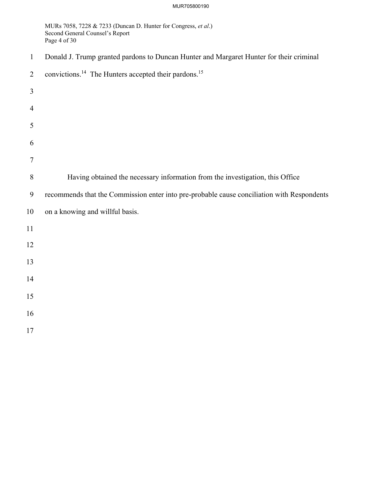|                | MURs 7058, 7228 & 7233 (Duncan D. Hunter for Congress, et al.)<br>Second General Counsel's Report<br>Page 4 of 30 |
|----------------|-------------------------------------------------------------------------------------------------------------------|
| $\mathbf{1}$   | Donald J. Trump granted pardons to Duncan Hunter and Margaret Hunter for their criminal                           |
| $\overline{2}$ | convictions. <sup>14</sup> The Hunters accepted their pardons. <sup>15</sup>                                      |
| 3              |                                                                                                                   |
| $\overline{4}$ |                                                                                                                   |
| 5              |                                                                                                                   |
| 6              |                                                                                                                   |
| 7              |                                                                                                                   |
| $8\,$          | Having obtained the necessary information from the investigation, this Office                                     |
| 9              | recommends that the Commission enter into pre-probable cause conciliation with Respondents                        |
| 10             | on a knowing and willful basis.                                                                                   |
| 11             |                                                                                                                   |
| 12             |                                                                                                                   |
| 13             |                                                                                                                   |
| 14             |                                                                                                                   |
| 15             |                                                                                                                   |
| 16             |                                                                                                                   |
| 17             |                                                                                                                   |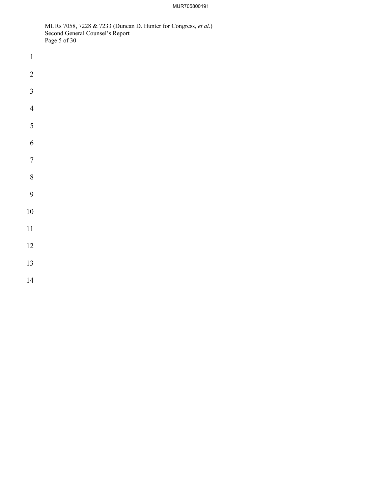MURs 7058, 7228 & 7233 (Duncan D. Hunter for Congress, *et al*.) Second General Counsel's Report Page 5 of 30

- 
- 
-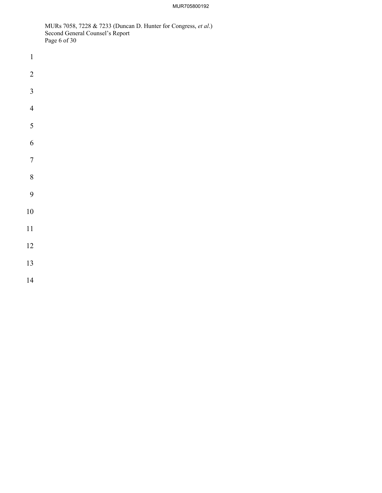MURs 7058, 7228 & 7233 (Duncan D. Hunter for Congress, *et al*.) Second General Counsel's Report Page 6 of 30

- 
- 
-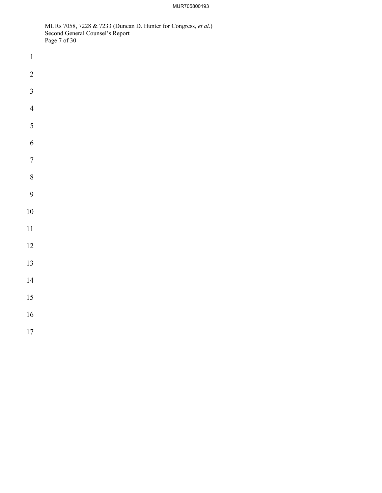MURs 7058, 7228 & 7233 (Duncan D. Hunter for Congress, *et al*.) Second General Counsel's Report Page 7 of 30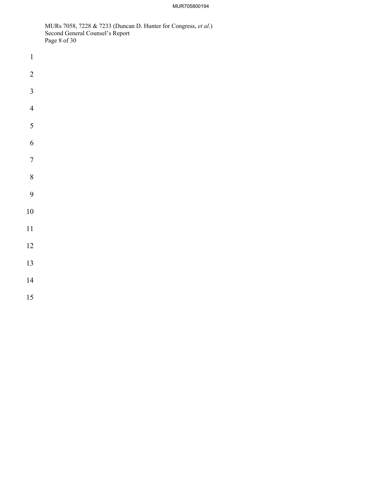MURs 7058, 7228 & 7233 (Duncan D. Hunter for Congress, *et al*.) Second General Counsel's Report Page 8 of 30

- 
-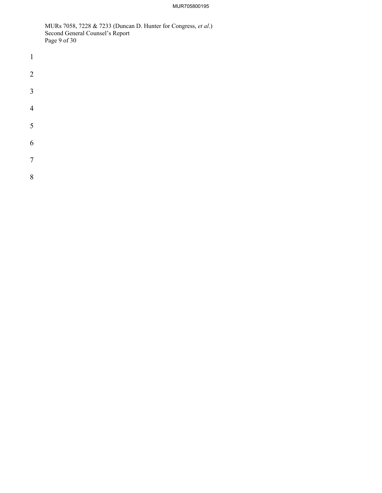MURs 7058, 7228 & 7233 (Duncan D. Hunter for Congress, *et al*.) Second General Counsel's Report Page 9 of 30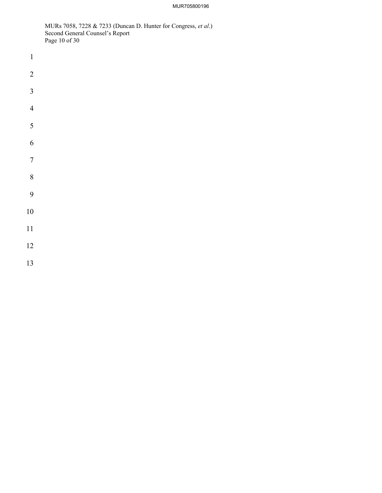MURs 7058, 7228 & 7233 (Duncan D. Hunter for Congress, *et al*.) Second General Counsel's Report Page 10 of 30

- 
- 
-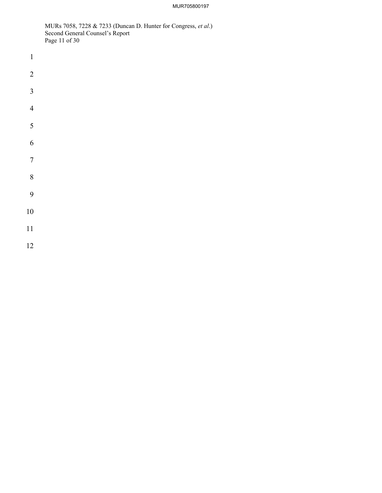MURs 7058, 7228 & 7233 (Duncan D. Hunter for Congress, *et al*.) Second General Counsel's Report Page 11 of 30

- 
- 
-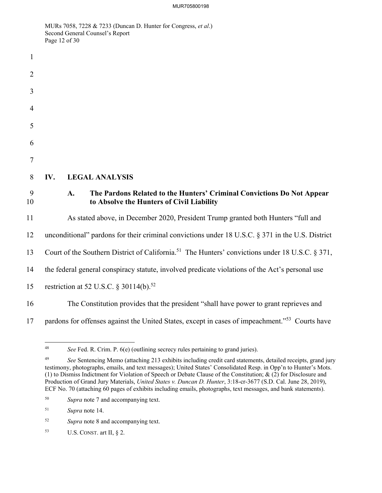MURs 7058, 7228 & 7233 (Duncan D. Hunter for Congress, *et al*.) Second General Counsel's Report Page 12 of 30

| $\mathbf{1}$   |                                                                                                                                       |
|----------------|---------------------------------------------------------------------------------------------------------------------------------------|
| 2              |                                                                                                                                       |
| 3              |                                                                                                                                       |
| $\overline{4}$ |                                                                                                                                       |
| 5              |                                                                                                                                       |
| 6              |                                                                                                                                       |
| $\tau$         |                                                                                                                                       |
| 8              | IV.<br><b>LEGAL ANALYSIS</b>                                                                                                          |
| 9<br>10        | $\mathbf{A}$ .<br>The Pardons Related to the Hunters' Criminal Convictions Do Not Appear<br>to Absolve the Hunters of Civil Liability |
| 11             | As stated above, in December 2020, President Trump granted both Hunters "full and                                                     |
| 12             | unconditional" pardons for their criminal convictions under 18 U.S.C. $\S 371$ in the U.S. District                                   |
| 13             | Court of the Southern District of California. <sup>51</sup> The Hunters' convictions under 18 U.S.C. § 371,                           |
| 14             | the federal general conspiracy statute, involved predicate violations of the Act's personal use                                       |
| 15             | restriction at 52 U.S.C. § 30114(b). <sup>52</sup>                                                                                    |
| 16             | The Constitution provides that the president "shall have power to grant reprieves and                                                 |
| 17             | pardons for offenses against the United States, except in cases of impeachment." <sup>53</sup> Courts have                            |

 $\overline{a}$ 

52 *Supra* note 8 and accompanying text.

<sup>48</sup> *See* Fed. R. Crim. P. 6(e) (outlining secrecy rules pertaining to grand juries).

<sup>49</sup> *See* Sentencing Memo (attaching 213 exhibits including credit card statements, detailed receipts, grand jury testimony, photographs, emails, and text messages); United States' Consolidated Resp. in Opp'n to Hunter's Mots. (1) to Dismiss Indictment for Violation of Speech or Debate Clause of the Constitution;  $\&$  (2) for Disclosure and Production of Grand Jury Materials, *United States v. Duncan D. Hunter*, 3:18-cr-3677 (S.D. Cal. June 28, 2019), ECF No. 70 (attaching 60 pages of exhibits including emails, photographs, text messages, and bank statements).

<sup>50</sup> *Supra* note 7 and accompanying text.

<sup>51</sup> *Supra* note 14.

 $53$  U.S. CONST. art II,  $\S$  2.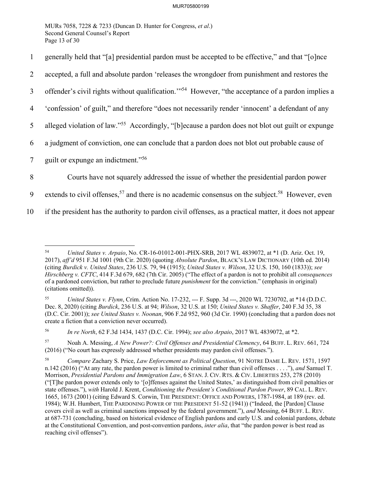MURs 7058, 7228 & 7233 (Duncan D. Hunter for Congress, *et al*.) Second General Counsel's Report Page 13 of 30

| $\mathbf{1}$    | generally held that "[a] presidential pardon must be accepted to be effective," and that "[o]nce               |
|-----------------|----------------------------------------------------------------------------------------------------------------|
| $\overline{2}$  | accepted, a full and absolute pardon 'releases the wrongdoer from punishment and restores the                  |
| $\mathfrak{Z}$  | offender's civil rights without qualification." <sup>54</sup> However, "the acceptance of a pardon implies a   |
| $\overline{4}$  | 'confession' of guilt," and therefore "does not necessarily render 'innocent' a defendant of any               |
| 5 <sup>5</sup>  | alleged violation of law." <sup>55</sup> Accordingly, "[b]ecause a pardon does not blot out guilt or expunge   |
| 6               | a judgment of conviction, one can conclude that a pardon does not blot out probable cause of                   |
| $7\overline{ }$ | guilt or expunge an indictment." <sup>56</sup>                                                                 |
| 8               | Courts have not squarely addressed the issue of whether the presidential pardon power                          |
| 9               | extends to civil offenses, $57$ and there is no academic consensus on the subject. <sup>58</sup> However, even |

10 if the president has the authority to pardon civil offenses, as a practical matter, it does not appear

56 *In re North*, 62 F.3d 1434, 1437 (D.C. Cir. 1994); *see also Arpaio*, 2017 WL 4839072, at \*2.

57 Noah A. Messing, *A New Power?: Civil Offenses and Presidential Clemency*, 64 BUFF. L. REV. 661, 724 (2016) ("No court has expressly addressed whether presidents may pardon civil offenses.").

 $\overline{a}$ 54 *United States v. Arpaio*, No. CR-16-01012-001-PHX-SRB, 2017 WL 4839072, at \*1 (D. Ariz. Oct. 19, 2017), *aff'd* 951 F.3d 1001 (9th Cir. 2020) (quoting *Absolute Pardon*, BLACK'S LAW DICTIONARY (10th ed. 2014) (citing *Burdick v. United States*, 236 U.S. 79, 94 (1915); *United States v. Wilson*, 32 U.S. 150, 160 (1833)); *see Hirschberg v. CFTC*, 414 F.3d 679, 682 (7th Cir. 2005) ("The effect of a pardon is not to prohibit all *consequences* of a pardoned conviction, but rather to preclude future *punishment* for the conviction." (emphasis in original) (citations omitted)).

<sup>55</sup> *United States v. Flynn*, Crim. Action No. 17-232, --- F. Supp. 3d ---, 2020 WL 7230702, at \*14 (D.D.C. Dec. 8, 2020) (citing *Burdick*, 236 U.S. at 94; *Wilson*, 32 U.S. at 150; *United States v. Shaffer*, 240 F.3d 35, 38 (D.C. Cir. 2001)); *see United States v. Noonan*, 906 F.2d 952, 960 (3d Cir. 1990) (concluding that a pardon does not create a fiction that a conviction never occurred).

<sup>58</sup> *Compare* Zachary S. Price, *Law Enforcement as Political Question*, 91 NOTRE DAME L. REV. 1571, 1597 n.142 (2016) ("At any rate, the pardon power is limited to criminal rather than civil offenses . . . ."), *and* Samuel T. Morrison, *Presidential Pardons and Immigration Law*, 6 STAN. J. CIV. RTS. & CIV. LIBERTIES 253, 278 (2010) ("[T]he pardon power extends only to '[o]ffenses against the United States,' as distinguished from civil penalties or state offenses."), *with* Harold J. Krent, *Conditioning the President's Conditional Pardon Power*, 89 CAL. L. REV. 1665, 1673 (2001) (citing Edward S. Corwin, THE PRESIDENT: OFFICE AND POWERS, 1787-1984, at 189 (rev. ed. 1984); W.H. Humbert, THE PARDONING POWER OF THE PRESIDENT 51-52 (1941)) ("Indeed, the [Pardon] Clause covers civil as well as criminal sanctions imposed by the federal government."), *and* Messing, 64 BUFF. L. REV. at 687-731 (concluding, based on historical evidence of English pardons and early U.S. and colonial pardons, debate at the Constitutional Convention, and post-convention pardons, *inter alia*, that "the pardon power is best read as reaching civil offenses").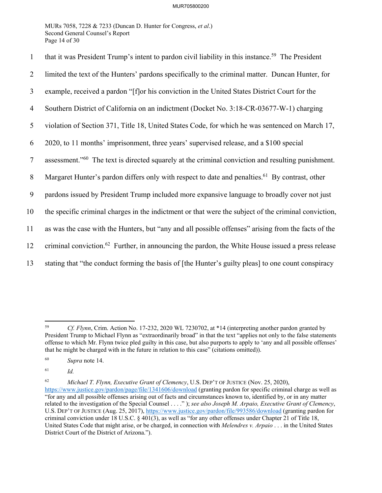MURs 7058, 7228 & 7233 (Duncan D. Hunter for Congress, *et al*.) Second General Counsel's Report Page 14 of 30

that it was President Trump's intent to pardon civil liability in this instance.<sup>59</sup> The President 2 limited the text of the Hunters' pardons specifically to the criminal matter. Duncan Hunter, for 3 example, received a pardon "[f]or his conviction in the United States District Court for the 4 Southern District of California on an indictment (Docket No. 3:18-CR-03677-W-1) charging 5 violation of Section 371, Title 18, United States Code, for which he was sentenced on March 17, 6 2020, to 11 months' imprisonment, three years' supervised release, and a \$100 special 7 assessment."<sup>60</sup> The text is directed squarely at the criminal conviction and resulting punishment. 8 Margaret Hunter's pardon differs only with respect to date and penalties.<sup>61</sup> By contrast, other 9 pardons issued by President Trump included more expansive language to broadly cover not just 10 the specific criminal charges in the indictment or that were the subject of the criminal conviction, 11 as was the case with the Hunters, but "any and all possible offenses" arising from the facts of the 12 criminal conviction.<sup>62</sup> Further, in announcing the pardon, the White House issued a press release 13 stating that "the conduct forming the basis of [the Hunter's guilty pleas] to one count conspiracy

 $\overline{a}$ 

62 *Michael T. Flynn, Executive Grant of Clemency*, U.S. DEP'T OF JUSTICE (Nov. 25, 2020),

<sup>59</sup> *Cf. Flynn*, Crim. Action No. 17-232, 2020 WL 7230702, at \*14 (interpreting another pardon granted by President Trump to Michael Flynn as "extraordinarily broad" in that the text "applies not only to the false statements offense to which Mr. Flynn twice pled guilty in this case, but also purports to apply to 'any and all possible offenses' that he might be charged with in the future in relation to this case" (citations omitted)).

<sup>60</sup> *Supra* note 14.

<sup>61</sup> *Id.*

https://www.justice.gov/pardon/page/file/1341606/download (granting pardon for specific criminal charge as well as "for any and all possible offenses arising out of facts and circumstances known to, identified by, or in any matter related to the investigation of the Special Counsel . . . ." ); *see also Joseph M. Arpaio, Executive Grant of Clemency*, U.S. DEP'T OF JUSTICE (Aug. 25, 2017), https://www.justice.gov/pardon/file/993586/download (granting pardon for criminal conviction under 18 U.S.C. § 401(3), as well as "for any other offenses under Chapter 21 of Title 18, United States Code that might arise, or be charged, in connection with *Melendres v. Arpaio* . . . in the United States District Court of the District of Arizona.").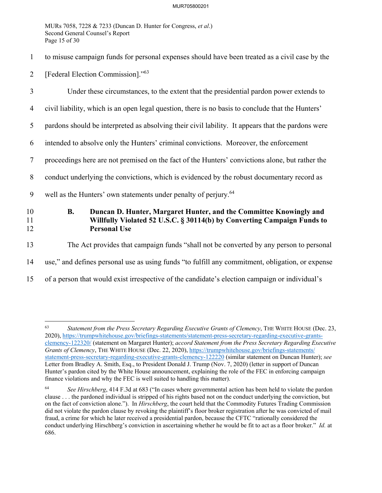MURs 7058, 7228 & 7233 (Duncan D. Hunter for Congress, *et al*.) Second General Counsel's Report Page 15 of 30

1 to misuse campaign funds for personal expenses should have been treated as a civil case by the

2 [Federal Election Commission]."<sup>63</sup>

 $\overline{a}$ 

| 3              | Under these circumstances, to the extent that the presidential pardon power extends to                                                                                            |
|----------------|-----------------------------------------------------------------------------------------------------------------------------------------------------------------------------------|
| 4              | civil liability, which is an open legal question, there is no basis to conclude that the Hunters'                                                                                 |
| 5              | pardons should be interpreted as absolving their civil lability. It appears that the pardons were                                                                                 |
| 6              | intended to absolve only the Hunters' criminal convictions. Moreover, the enforcement                                                                                             |
| $\tau$         | proceedings here are not premised on the fact of the Hunters' convictions alone, but rather the                                                                                   |
| 8              | conduct underlying the convictions, which is evidenced by the robust documentary record as                                                                                        |
| 9              | well as the Hunters' own statements under penalty of perjury. <sup>64</sup>                                                                                                       |
| 10<br>11<br>12 | Duncan D. Hunter, Margaret Hunter, and the Committee Knowingly and<br><b>B.</b><br>Willfully Violated 52 U.S.C. § 30114(b) by Converting Campaign Funds to<br><b>Personal Use</b> |
| 13             | The Act provides that campaign funds "shall not be converted by any person to personal                                                                                            |
| 14             | use," and defines personal use as using funds "to fulfill any commitment, obligation, or expense                                                                                  |
| 15             | of a person that would exist irrespective of the candidate's election campaign or individual's                                                                                    |

<sup>63</sup> *Statement from the Press Secretary Regarding Executive Grants of Clemency*, THE WHITE HOUSE (Dec. 23, 2020), https://trumpwhitehouse.gov/briefings-statements/statement-press-secretary-regarding-executive-grantsclemency-122320/ (statement on Margaret Hunter); *accord Statement from the Press Secretary Regarding Executive Grants of Clemency*, THE WHITE HOUSE (Dec. 22, 2020), https://trumpwhitehouse.gov/briefings-statements/ statement-press-secretary-regarding-executive-grants-clemency-122220 (similar statement on Duncan Hunter); *see* Letter from Bradley A. Smith, Esq., to President Donald J. Trump (Nov. 7, 2020) (letter in support of Duncan Hunter's pardon cited by the White House announcement, explaining the role of the FEC in enforcing campaign finance violations and why the FEC is well suited to handling this matter).

<sup>64</sup> *See Hirschberg*, 414 F.3d at 683 ("In cases where governmental action has been held to violate the pardon clause . . . the pardoned individual is stripped of his rights based not on the conduct underlying the conviction, but on the fact of conviction alone."). In *Hirschberg*, the court held that the Commodity Futures Trading Commission did not violate the pardon clause by revoking the plaintiff's floor broker registration after he was convicted of mail fraud, a crime for which he later received a presidential pardon, because the CFTC "rationally considered the conduct underlying Hirschberg's conviction in ascertaining whether he would be fit to act as a floor broker." *Id.* at 686.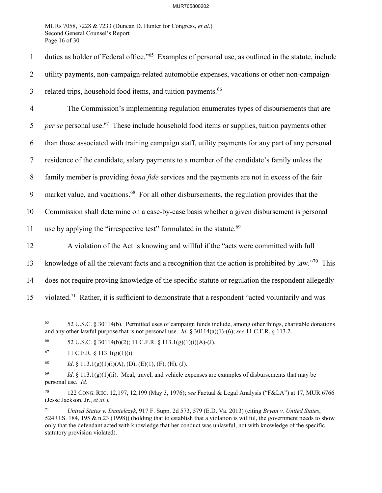duties as holder of Federal office."<sup>65</sup> Examples of personal use, as outlined in the statute, include 2 utility payments, non-campaign-related automobile expenses, vacations or other non-campaign-3 related trips, household food items, and tuition payments.<sup>66</sup> 4 The Commission's implementing regulation enumerates types of disbursements that are 5 *per se* personal use.<sup>67</sup> These include household food items or supplies, tuition payments other 6 than those associated with training campaign staff, utility payments for any part of any personal 7 residence of the candidate, salary payments to a member of the candidate's family unless the 8 family member is providing *bona fide* services and the payments are not in excess of the fair 9 market value, and vacations. $68$  For all other disbursements, the regulation provides that the 10 Commission shall determine on a case-by-case basis whether a given disbursement is personal 11 use by applying the "irrespective test" formulated in the statute. $69$ 12 A violation of the Act is knowing and willful if the "acts were committed with full 13 knowledge of all the relevant facts and a recognition that the action is prohibited by law. $\cdot$ <sup>70</sup> This 14 does not require proving knowledge of the specific statute or regulation the respondent allegedly 15 violated.<sup>71</sup> Rather, it is sufficient to demonstrate that a respondent "acted voluntarily and was

 $\overline{a}$ 

<sup>65 52</sup> U.S.C. § 30114(b). Permitted uses of campaign funds include, among other things, charitable donations and any other lawful purpose that is not personal use. *Id.* § 30114(a)(1)-(6); *see* 11 C.F.R. § 113.2.

<sup>66 52</sup> U.S.C. § 30114(b)(2); 11 C.F.R. § 113.1(g)(1)(i)(A)-(J).

<sup>67 11</sup> C.F.R.  $\S$  113.1(g)(1)(i).

<sup>68</sup> *Id.* § 113.1(g)(1)(i)(A), (D), (E)(1), (F), (H), (J).

 $\frac{69}{10}$  *Id.* § 113.1(g)(1)(ii). Meal, travel, and vehicle expenses are examples of disbursements that may be personal use. *Id.*

<sup>70 122</sup> CONG. REC. 12,197, 12,199 (May 3, 1976); *see* Factual & Legal Analysis ("F&LA") at 17, MUR 6766 (Jesse Jackson, Jr., *et al.*).

<sup>71</sup> *United States v. Danielczyk*, 917 F. Supp. 2d 573, 579 (E.D. Va. 2013) (citing *Bryan v. United States*, 524 U.S. 184, 195 & n.23 (1998)) (holding that to establish that a violation is willful, the government needs to show only that the defendant acted with knowledge that her conduct was unlawful, not with knowledge of the specific statutory provision violated).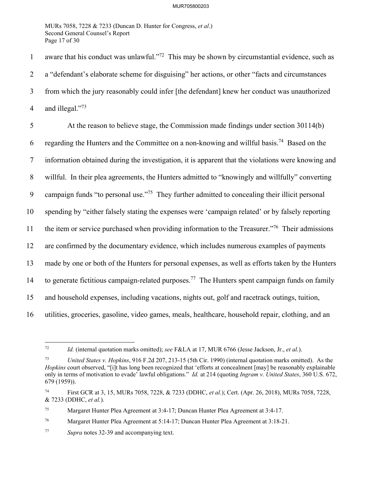MURs 7058, 7228 & 7233 (Duncan D. Hunter for Congress, *et al*.) Second General Counsel's Report Page 17 of 30

1 aware that his conduct was unlawful."<sup>72</sup> This may be shown by circumstantial evidence, such as 2 a "defendant's elaborate scheme for disguising" her actions, or other "facts and circumstances 3 from which the jury reasonably could infer [the defendant] knew her conduct was unauthorized 4 and illegal. $\frac{373}{4}$ 

5 At the reason to believe stage, the Commission made findings under section 30114(b) 6 regarding the Hunters and the Committee on a non-knowing and willful basis.<sup>74</sup> Based on the 7 information obtained during the investigation, it is apparent that the violations were knowing and 8 willful. In their plea agreements, the Hunters admitted to "knowingly and willfully" converting 9 campaign funds "to personal use."<sup>75</sup> They further admitted to concealing their illicit personal 10 spending by "either falsely stating the expenses were 'campaign related' or by falsely reporting 11 the item or service purchased when providing information to the Treasurer. $176$  Their admissions 12 are confirmed by the documentary evidence, which includes numerous examples of payments 13 made by one or both of the Hunters for personal expenses, as well as efforts taken by the Hunters 14 to generate fictitious campaign-related purposes.<sup>77</sup> The Hunters spent campaign funds on family 15 and household expenses, including vacations, nights out, golf and racetrack outings, tuition, 16 utilities, groceries, gasoline, video games, meals, healthcare, household repair, clothing, and an

 $72\,$ 72 *Id.* (internal quotation marks omitted); *see* F&LA at 17, MUR 6766 (Jesse Jackson, Jr., *et al.*).

<sup>73</sup> *United States v. Hopkins*, 916 F.2d 207, 213-15 (5th Cir. 1990) (internal quotation marks omitted). As the *Hopkins* court observed, "[i]t has long been recognized that 'efforts at concealment [may] be reasonably explainable only in terms of motivation to evade' lawful obligations." *Id.* at 214 (quoting *Ingram v. United States*, 360 U.S. 672, 679 (1959)).

<sup>74</sup> First GCR at 3, 15, MURs 7058, 7228, & 7233 (DDHC, *et al.*); Cert. (Apr. 26, 2018), MURs 7058, 7228, & 7233 (DDHC, *et al.*).

<sup>75</sup> Margaret Hunter Plea Agreement at 3:4-17; Duncan Hunter Plea Agreement at 3:4-17.

<sup>76</sup> Margaret Hunter Plea Agreement at 5:14-17; Duncan Hunter Plea Agreement at 3:18-21.

<sup>77</sup> *Supra* notes 32-39 and accompanying text.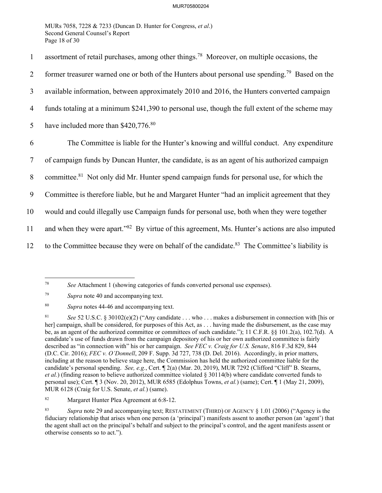MURs 7058, 7228 & 7233 (Duncan D. Hunter for Congress, *et al*.) Second General Counsel's Report Page 18 of 30

| 1              | assortment of retail purchases, among other things. <sup>78</sup> Moreover, on multiple occasions, the      |
|----------------|-------------------------------------------------------------------------------------------------------------|
| 2              | former treasurer warned one or both of the Hunters about personal use spending. <sup>79</sup> Based on the  |
| $\overline{3}$ | available information, between approximately 2010 and 2016, the Hunters converted campaign                  |
| 4              | funds totaling at a minimum \$241,390 to personal use, though the full extent of the scheme may             |
| 5              | have included more than \$420,776.80                                                                        |
| 6              | The Committee is liable for the Hunter's knowing and willful conduct. Any expenditure                       |
| 7              | of campaign funds by Duncan Hunter, the candidate, is as an agent of his authorized campaign                |
| 8              | committee. <sup>81</sup> Not only did Mr. Hunter spend campaign funds for personal use, for which the       |
| 9              | Committee is therefore liable, but he and Margaret Hunter "had an implicit agreement that they              |
| 10             | would and could illegally use Campaign funds for personal use, both when they were together                 |
| 11             | and when they were apart." <sup>82</sup> By virtue of this agreement, Ms. Hunter's actions are also imputed |
| 12             | to the Committee because they were on behalf of the candidate. <sup>83</sup> The Committee's liability is   |

<sup>78</sup> See Attachment 1 (showing categories of funds converted personal use expenses).

<sup>79</sup> *Supra* note 40 and accompanying text.

<sup>80</sup> *Supra* notes 44-46 and accompanying text.

<sup>81</sup> *See* 52 U.S.C. § 30102(e)(2) ("Any candidate . . . who . . . makes a disbursement in connection with [his or her] campaign, shall be considered, for purposes of this Act, as . . . having made the disbursement, as the case may be, as an agent of the authorized committee or committees of such candidate."); 11 C.F.R. §§ 101.2(a), 102.7(d). A candidate's use of funds drawn from the campaign depository of his or her own authorized committee is fairly described as "in connection with" his or her campaign. *See FEC v. Craig for U.S. Senate*, 816 F.3d 829, 844 (D.C. Cir. 2016); *FEC v. O'Donnell*, 209 F. Supp. 3d 727, 738 (D. Del. 2016). Accordingly, in prior matters, including at the reason to believe stage here, the Commission has held the authorized committee liable for the candidate's personal spending. *See, e.g.*, Cert. ¶ 2(a) (Mar. 20, 2019), MUR 7292 (Clifford "Cliff" B. Stearns, *et al.*) (finding reason to believe authorized committee violated § 30114(b) where candidate converted funds to personal use); Cert. ¶ 3 (Nov. 20, 2012), MUR 6585 (Edolphus Towns, *et al.*) (same); Cert. ¶ 1 (May 21, 2009), MUR 6128 (Craig for U.S. Senate, *et al.*) (same).

<sup>82</sup> Margaret Hunter Plea Agreement at 6:8-12.

<sup>83</sup> *Supra* note 29 and accompanying text; RESTATEMENT (THIRD) OF AGENCY § 1.01 (2006) ("Agency is the fiduciary relationship that arises when one person (a 'principal') manifests assent to another person (an 'agent') that the agent shall act on the principal's behalf and subject to the principal's control, and the agent manifests assent or otherwise consents so to act.").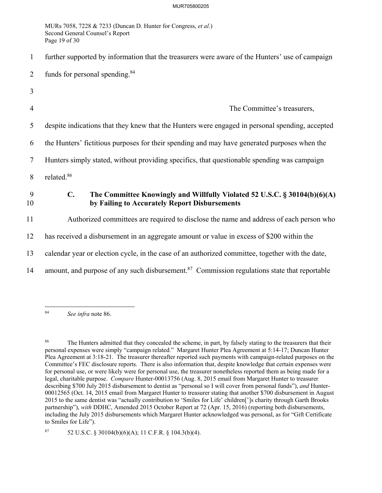|                | MURs 7058, 7228 & 7233 (Duncan D. Hunter for Congress, et al.)<br>Second General Counsel's Report<br>Page 19 of 30                           |
|----------------|----------------------------------------------------------------------------------------------------------------------------------------------|
| $\mathbf{1}$   | further supported by information that the treasurers were aware of the Hunters' use of campaign                                              |
| $\overline{2}$ | funds for personal spending. <sup>84</sup>                                                                                                   |
| 3              |                                                                                                                                              |
| $\overline{4}$ | The Committee's treasurers,                                                                                                                  |
| 5              | despite indications that they knew that the Hunters were engaged in personal spending, accepted                                              |
| 6              | the Hunters' fictitious purposes for their spending and may have generated purposes when the                                                 |
| $\overline{7}$ | Hunters simply stated, without providing specifics, that questionable spending was campaign                                                  |
| 8              | related.86                                                                                                                                   |
| 9<br>10        | $\mathbf{C}$ .<br>The Committee Knowingly and Willfully Violated 52 U.S.C. § 30104(b)(6)(A)<br>by Failing to Accurately Report Disbursements |
| 11             | Authorized committees are required to disclose the name and address of each person who                                                       |
| 12             | has received a disbursement in an aggregate amount or value in excess of \$200 within the                                                    |
| 13             | calendar year or election cycle, in the case of an authorized committee, together with the date,                                             |
| 14             | amount, and purpose of any such disbursement. <sup>87</sup> Commission regulations state that reportable                                     |
|                |                                                                                                                                              |

84 See *infra* note 86.

<sup>&</sup>lt;sup>86</sup> The Hunters admitted that they concealed the scheme, in part, by falsely stating to the treasurers that their personal expenses were simply "campaign related." Margaret Hunter Plea Agreement at 5:14-17; Duncan Hunter Plea Agreement at 3:18-21. The treasurer thereafter reported such payments with campaign-related purposes on the Committee's FEC disclosure reports. There is also information that, despite knowledge that certain expenses were for personal use, or were likely were for personal use, the treasurer nonetheless reported them as being made for a legal, charitable purpose. *Compare* Hunter-00013756 (Aug. 8, 2015 email from Margaret Hunter to treasurer describing \$700 July 2015 disbursement to dentist as "personal so I will cover from personal funds"), *and* Hunter-00012565 (Oct. 14, 2015 email from Margaret Hunter to treasurer stating that another \$700 disbursement in August 2015 to the same dentist was "actually contribution to 'Smiles for Life' children[']s charity through Garth Brooks partnership"), *with* DDHC, Amended 2015 October Report at 72 (Apr. 15, 2016) (reporting both disbursements, including the July 2015 disbursements which Margaret Hunter acknowledged was personal, as for "Gift Certificate to Smiles for Life").

<sup>87 52</sup> U.S.C. § 30104(b)(6)(A); 11 C.F.R. § 104.3(b)(4).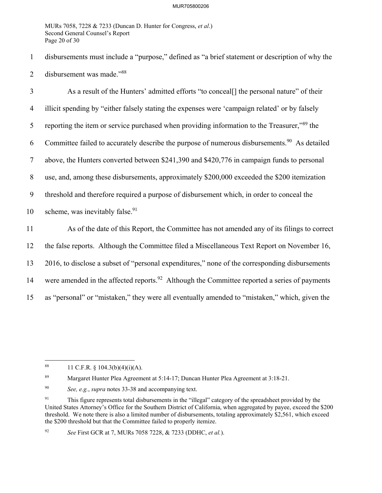MURs 7058, 7228 & 7233 (Duncan D. Hunter for Congress, *et al*.) Second General Counsel's Report Page 20 of 30

1 disbursements must include a "purpose," defined as "a brief statement or description of why the 2 disbursement was made."<sup>88</sup>

3 As a result of the Hunters' admitted efforts "to conceal[] the personal nature" of their 4 illicit spending by "either falsely stating the expenses were 'campaign related' or by falsely 5 reporting the item or service purchased when providing information to the Treasurer," $89$  the 6 Committee failed to accurately describe the purpose of numerous disbursements.<sup>90</sup> As detailed 7 above, the Hunters converted between \$241,390 and \$420,776 in campaign funds to personal 8 use, and, among these disbursements, approximately \$200,000 exceeded the \$200 itemization 9 threshold and therefore required a purpose of disbursement which, in order to conceal the  $10$  scheme, was inevitably false.<sup>91</sup> 11 As of the date of this Report, the Committee has not amended any of its filings to correct 12 the false reports. Although the Committee filed a Miscellaneous Text Report on November 16,

13 2016, to disclose a subset of "personal expenditures," none of the corresponding disbursements

14 were amended in the affected reports.<sup>92</sup> Although the Committee reported a series of payments

15 as "personal" or "mistaken," they were all eventually amended to "mistaken," which, given the

 $\overline{a}$ 

92 *See* First GCR at 7, MURs 7058 7228, & 7233 (DDHC, *et al.*).

<sup>&</sup>lt;sup>88</sup> 11 C.F.R.  $\frac{$8,000 \cdot (4)(i)(A)}{i}$ .

<sup>89</sup> Margaret Hunter Plea Agreement at 5:14-17; Duncan Hunter Plea Agreement at 3:18-21.

<sup>90</sup> *See, e.g.*, *supra* notes 33-38 and accompanying text.

<sup>&</sup>lt;sup>91</sup> This figure represents total disbursements in the "illegal" category of the spreadsheet provided by the United States Attorney's Office for the Southern District of California, when aggregated by payee, exceed the \$200 threshold. We note there is also a limited number of disbursements, totaling approximately \$2,561, which exceed the \$200 threshold but that the Committee failed to properly itemize.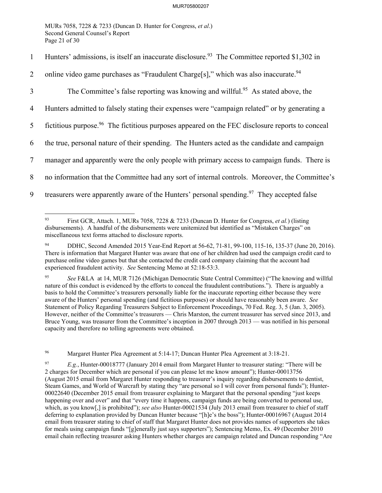| $\mathbf{1}$   | Hunters' admissions, is itself an inaccurate disclosure. <sup>93</sup> The Committee reported \$1,302 in    |
|----------------|-------------------------------------------------------------------------------------------------------------|
| $\overline{2}$ | online video game purchases as "Fraudulent Charge[s]," which was also inaccurate. <sup>94</sup>             |
| $\overline{3}$ | The Committee's false reporting was knowing and willful. <sup>95</sup> As stated above, the                 |
| $\overline{4}$ | Hunters admitted to falsely stating their expenses were "campaign related" or by generating a               |
| 5 <sup>5</sup> | fictitious purpose. <sup>96</sup> The fictitious purposes appeared on the FEC disclosure reports to conceal |
| 6              | the true, personal nature of their spending. The Hunters acted as the candidate and campaign                |
| $\tau$         | manager and apparently were the only people with primary access to campaign funds. There is                 |
| 8              | no information that the Committee had any sort of internal controls. Moreover, the Committee's              |
| 9              | treasurers were apparently aware of the Hunters' personal spending. <sup>97</sup> They accepted false       |

<sup>93</sup> 93 First GCR, Attach. 1, MURs 7058, 7228 & 7233 (Duncan D. Hunter for Congress, *et al.*) (listing disbursements). A handful of the disbursements were unitemized but identified as "Mistaken Charges" on miscellaneous text forms attached to disclosure reports.

96 Margaret Hunter Plea Agreement at 5:14-17; Duncan Hunter Plea Agreement at 3:18-21.

97 *E.g.*, Hunter-00018777 (January 2014 email from Margaret Hunter to treasurer stating: "There will be 2 charges for December which are personal if you can please let me know amount"); Hunter-00013756 (August 2015 email from Margaret Hunter responding to treasurer's inquiry regarding disbursements to dentist, Steam Games, and World of Warcraft by stating they "are personal so I will cover from personal funds"); Hunter-00022640 (December 2015 email from treasurer explaining to Margaret that the personal spending "just keeps happening over and over" and that "every time it happens, campaign funds are being converted to personal use, which, as you know<sup>[</sup>,] is prohibited"); *see also* Hunter-00021534 (July 2013 email from treasurer to chief of staff deferring to explanation provided by Duncan Hunter because "[h]e's the boss"); Hunter-00016967 (August 2014 email from treasurer stating to chief of staff that Margaret Hunter does not provides names of supporters she takes for meals using campaign funds "[g]enerally just says supporters"); Sentencing Memo, Ex. 49 (December 2010 email chain reflecting treasurer asking Hunters whether charges are campaign related and Duncan responding "Are

<sup>94</sup> DDHC, Second Amended 2015 Year-End Report at 56-62, 71-81, 99-100, 115-16, 135-37 (June 20, 2016). There is information that Margaret Hunter was aware that one of her children had used the campaign credit card to purchase online video games but that she contacted the credit card company claiming that the account had experienced fraudulent activity. *See* Sentencing Memo at 52:18-53:3.

<sup>95</sup> *See* F&LA at 14, MUR 7126 (Michigan Democratic State Central Committee) ("The knowing and willful nature of this conduct is evidenced by the efforts to conceal the fraudulent contributions."). There is arguably a basis to hold the Committee's treasurers personally liable for the inaccurate reporting either because they were aware of the Hunters' personal spending (and fictitious purposes) or should have reasonably been aware. *See* Statement of Policy Regarding Treasurers Subject to Enforcement Proceedings, 70 Fed. Reg. 3, 5 (Jan. 3, 2005). However, neither of the Committee's treasurers — Chris Marston, the current treasurer has served since 2013, and Bruce Young, was treasurer from the Committee's inception in 2007 through 2013 — was notified in his personal capacity and therefore no tolling agreements were obtained.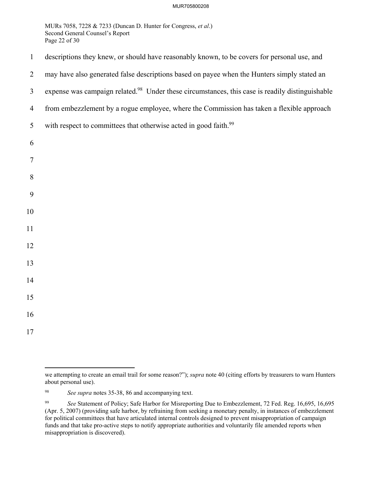MURs 7058, 7228 & 7233 (Duncan D. Hunter for Congress, *et al*.) Second General Counsel's Report Page 22 of 30

| $\mathbf{1}$   | descriptions they knew, or should have reasonably known, to be covers for personal use, and                 |
|----------------|-------------------------------------------------------------------------------------------------------------|
| $\overline{2}$ | may have also generated false descriptions based on payee when the Hunters simply stated an                 |
| $\overline{3}$ | expense was campaign related. <sup>98</sup> Under these circumstances, this case is readily distinguishable |
| $\overline{4}$ | from embezzlement by a rogue employee, where the Commission has taken a flexible approach                   |
| 5              | with respect to committees that otherwise acted in good faith. <sup>99</sup>                                |
| 6              |                                                                                                             |
| $\overline{7}$ |                                                                                                             |
| 8              |                                                                                                             |
| 9              |                                                                                                             |
| 10             |                                                                                                             |
| 11             |                                                                                                             |
| 12             |                                                                                                             |
| 13             |                                                                                                             |
| 14             |                                                                                                             |
| 15             |                                                                                                             |
| 16             |                                                                                                             |
| 17             |                                                                                                             |
|                |                                                                                                             |
|                |                                                                                                             |

we attempting to create an email trail for some reason?"); *supra* note 40 (citing efforts by treasurers to warn Hunters about personal use).

<sup>98</sup> *See supra* notes 35-38, 86 and accompanying text.

<sup>&</sup>lt;sup>99</sup> *See* Statement of Policy; Safe Harbor for Misreporting Due to Embezzlement, 72 Fed. Reg. 16,695, 16,695 (Apr. 5, 2007) (providing safe harbor, by refraining from seeking a monetary penalty, in instances of embezzlement for political committees that have articulated internal controls designed to prevent misappropriation of campaign funds and that take pro-active steps to notify appropriate authorities and voluntarily file amended reports when misappropriation is discovered).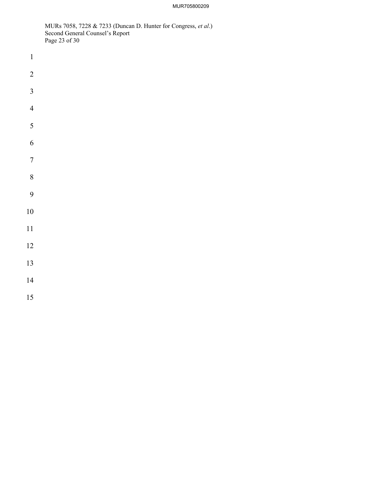MURs 7058, 7228 & 7233 (Duncan D. Hunter for Congress, *et al*.) Second General Counsel's Report Page 23 of 30

- 
- 
-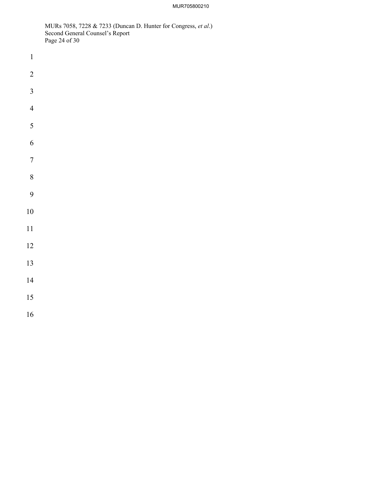MURs 7058, 7228 & 7233 (Duncan D. Hunter for Congress, *et al*.) Second General Counsel's Report Page 24 of 30

- 
-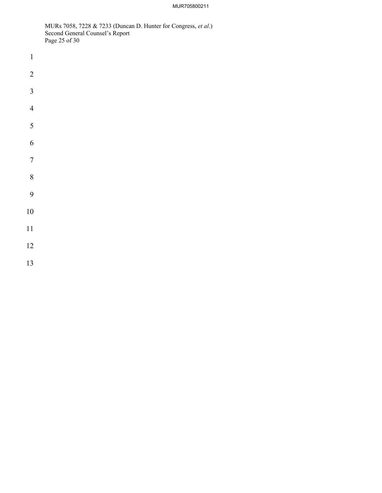MURs 7058, 7228 & 7233 (Duncan D. Hunter for Congress, *et al*.) Second General Counsel's Report Page 25 of 30

- 
- 
-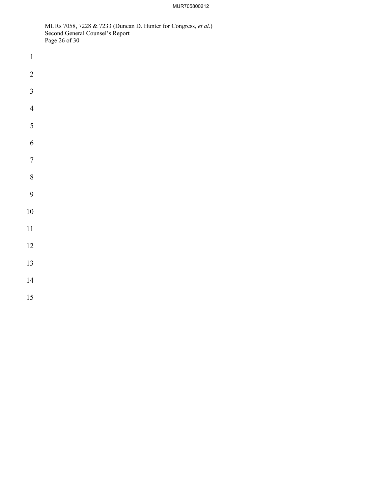MURs 7058, 7228 & 7233 (Duncan D. Hunter for Congress, *et al*.) Second General Counsel's Report Page 26 of 30

- 
- 
-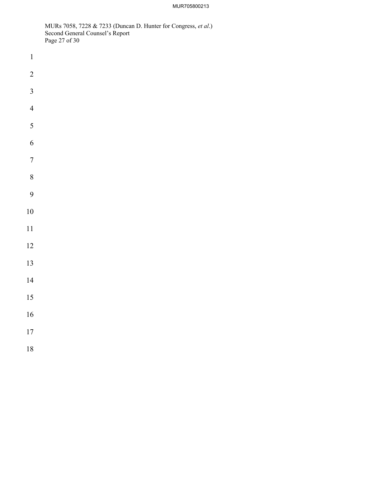MURs 7058, 7228 & 7233 (Duncan D. Hunter for Congress, *et al*.) Second General Counsel's Report Page 27 of 30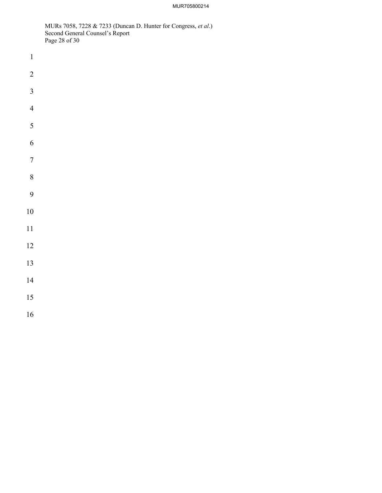MURs 7058, 7228 & 7233 (Duncan D. Hunter for Congress, *et al*.) Second General Counsel's Report Page 28 of 30

- 
- 
-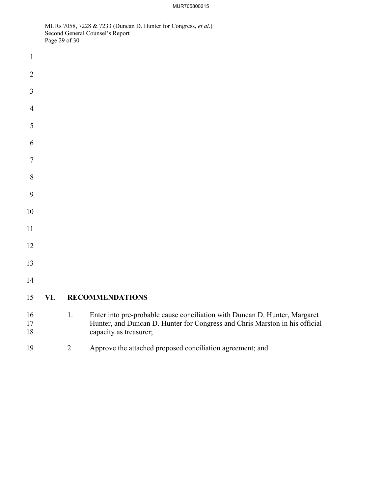MURs 7058, 7228 & 7233 (Duncan D. Hunter for Congress, *et al*.) Second General Counsel's Report Page 29 of 30

 **VI. RECOMMENDATIONS**  16 1. Enter into pre-probable cause conciliation with Duncan D. Hunter, Margaret<br>17 Hunter, and Duncan D. Hunter for Congress and Chris Marston in his official 17 Hunter, and Duncan D. Hunter for Congress and Chris Marston in his official capacity as treasurer; capacity as treasurer; 19 2. Approve the attached proposed conciliation agreement; and